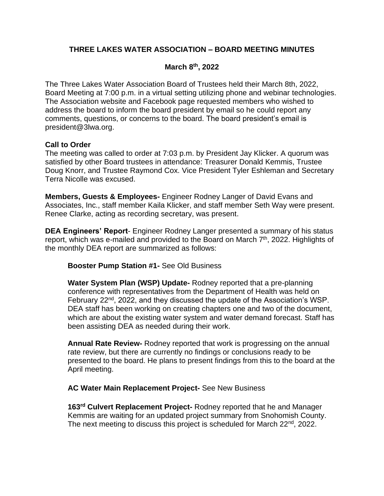# **THREE LAKES WATER ASSOCIATION – BOARD MEETING MINUTES**

## **March 8 th, 2022**

The Three Lakes Water Association Board of Trustees held their March 8th, 2022, Board Meeting at 7:00 p.m. in a virtual setting utilizing phone and webinar technologies. The Association website and Facebook page requested members who wished to address the board to inform the board president by email so he could report any comments, questions, or concerns to the board. The board president's email is president@3lwa.org.

### **Call to Order**

The meeting was called to order at 7:03 p.m. by President Jay Klicker. A quorum was satisfied by other Board trustees in attendance: Treasurer Donald Kemmis, Trustee Doug Knorr, and Trustee Raymond Cox. Vice President Tyler Eshleman and Secretary Terra Nicolle was excused.

**Members, Guests & Employees-** Engineer Rodney Langer of David Evans and Associates, Inc., staff member Kaila Klicker, and staff member Seth Way were present. Renee Clarke, acting as recording secretary, was present.

**DEA Engineers' Report**- Engineer Rodney Langer presented a summary of his status report, which was e-mailed and provided to the Board on March 7<sup>th</sup>, 2022. Highlights of the monthly DEA report are summarized as follows:

#### **Booster Pump Station #1-** See Old Business

**Water System Plan (WSP) Update-** Rodney reported that a pre-planning conference with representatives from the Department of Health was held on February 22<sup>nd</sup>, 2022, and they discussed the update of the Association's WSP. DEA staff has been working on creating chapters one and two of the document, which are about the existing water system and water demand forecast. Staff has been assisting DEA as needed during their work.

**Annual Rate Review-** Rodney reported that work is progressing on the annual rate review, but there are currently no findings or conclusions ready to be presented to the board. He plans to present findings from this to the board at the April meeting.

#### **AC Water Main Replacement Project-** See New Business

**163rd Culvert Replacement Project-** Rodney reported that he and Manager Kemmis are waiting for an updated project summary from Snohomish County. The next meeting to discuss this project is scheduled for March 22<sup>nd</sup>, 2022.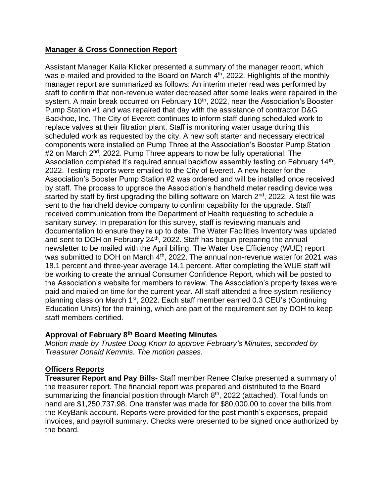# **Manager & Cross Connection Report**

Assistant Manager Kaila Klicker presented a summary of the manager report, which was e-mailed and provided to the Board on March  $4<sup>th</sup>$ , 2022. Highlights of the monthly manager report are summarized as follows: An interim meter read was performed by staff to confirm that non-revenue water decreased after some leaks were repaired in the system. A main break occurred on February 10<sup>th</sup>, 2022, near the Association's Booster Pump Station #1 and was repaired that day with the assistance of contractor D&G Backhoe, Inc. The City of Everett continues to inform staff during scheduled work to replace valves at their filtration plant. Staff is monitoring water usage during this scheduled work as requested by the city. A new soft starter and necessary electrical components were installed on Pump Three at the Association's Booster Pump Station #2 on March 2<sup>nd</sup>, 2022. Pump Three appears to now be fully operational. The Association completed it's required annual backflow assembly testing on February  $14<sup>th</sup>$ , 2022. Testing reports were emailed to the City of Everett. A new heater for the Association's Booster Pump Station #2 was ordered and will be installed once received by staff. The process to upgrade the Association's handheld meter reading device was started by staff by first upgrading the billing software on March  $2<sup>nd</sup>$ , 2022. A test file was sent to the handheld device company to confirm capability for the upgrade. Staff received communication from the Department of Health requesting to schedule a sanitary survey. In preparation for this survey, staff is reviewing manuals and documentation to ensure they're up to date. The Water Facilities Inventory was updated and sent to DOH on February 24<sup>th</sup>, 2022. Staff has begun preparing the annual newsletter to be mailed with the April billing. The Water Use Efficiency (WUE) report was submitted to DOH on March 4<sup>th</sup>, 2022. The annual non-revenue water for 2021 was 18.1 percent and three-year average 14.1 percent. After completing the WUE staff will be working to create the annual Consumer Confidence Report, which will be posted to the Association's website for members to review. The Association's property taxes were paid and mailed on time for the current year. All staff attended a free system resiliency planning class on March 1st, 2022. Each staff member earned 0.3 CEU's (Continuing Education Units) for the training, which are part of the requirement set by DOH to keep staff members certified.

# **Approval of February 8 th Board Meeting Minutes**

*Motion made by Trustee Doug Knorr to approve February's Minutes, seconded by Treasurer Donald Kemmis. The motion passes.*

# **Officers Reports**

**Treasurer Report and Pay Bills-** Staff member Renee Clarke presented a summary of the treasurer report. The financial report was prepared and distributed to the Board summarizing the financial position through March 8<sup>th</sup>, 2022 (attached). Total funds on hand are \$1,250,737.98. One transfer was made for \$80,000.00 to cover the bills from the KeyBank account. Reports were provided for the past month's expenses, prepaid invoices, and payroll summary. Checks were presented to be signed once authorized by the board.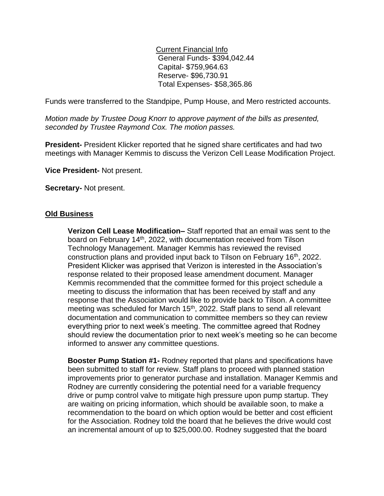Current Financial Info General Funds- \$394,042.44 Capital- \$759,964.63 Reserve- \$96,730.91 Total Expenses- \$58,365.86

Funds were transferred to the Standpipe, Pump House, and Mero restricted accounts.

*Motion made by Trustee Doug Knorr to approve payment of the bills as presented, seconded by Trustee Raymond Cox. The motion passes.*

**President-** President Klicker reported that he signed share certificates and had two meetings with Manager Kemmis to discuss the Verizon Cell Lease Modification Project.

**Vice President-** Not present.

**Secretary-** Not present.

### **Old Business**

**Verizon Cell Lease Modification–** Staff reported that an email was sent to the board on February 14<sup>th</sup>, 2022, with documentation received from Tilson Technology Management. Manager Kemmis has reviewed the revised construction plans and provided input back to Tilson on February 16<sup>th</sup>, 2022. President Klicker was apprised that Verizon is interested in the Association's response related to their proposed lease amendment document. Manager Kemmis recommended that the committee formed for this project schedule a meeting to discuss the information that has been received by staff and any response that the Association would like to provide back to Tilson. A committee meeting was scheduled for March 15<sup>th</sup>, 2022. Staff plans to send all relevant documentation and communication to committee members so they can review everything prior to next week's meeting. The committee agreed that Rodney should review the documentation prior to next week's meeting so he can become informed to answer any committee questions.

**Booster Pump Station #1-** Rodney reported that plans and specifications have been submitted to staff for review. Staff plans to proceed with planned station improvements prior to generator purchase and installation. Manager Kemmis and Rodney are currently considering the potential need for a variable frequency drive or pump control valve to mitigate high pressure upon pump startup. They are waiting on pricing information, which should be available soon, to make a recommendation to the board on which option would be better and cost efficient for the Association. Rodney told the board that he believes the drive would cost an incremental amount of up to \$25,000.00. Rodney suggested that the board